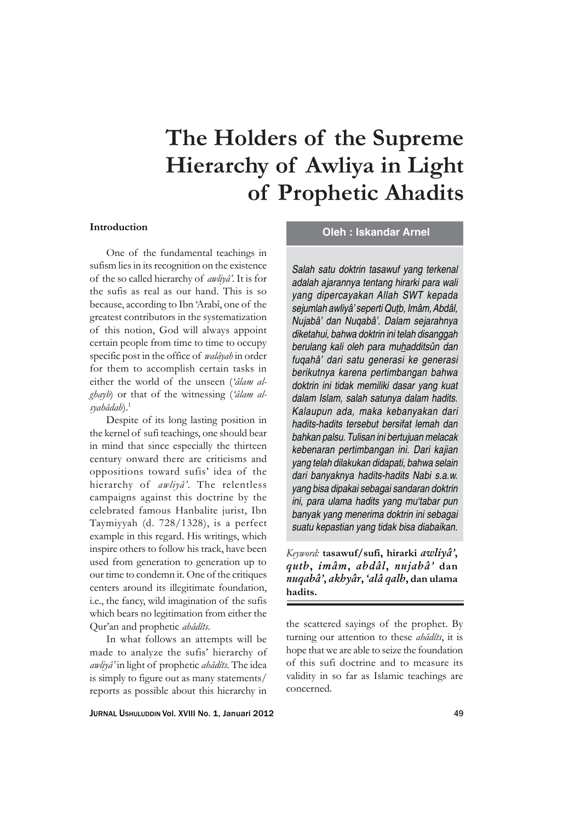# **The Holders of the Supreme Hierarchy of Awliya in Light of Prophetic Ahadits**

### **Introduction**

One of the fundamental teachings in sufism lies in its recognition on the existence of the so called hierarchy of *awliyâ'*. It is for the sufis as real as our hand. This is so because, according to Ibn 'Arabî, one of the greatest contributors in the systematization of this notion, God will always appoint certain people from time to time to occupy specific post in the office of *walâyah* in order for them to accomplish certain tasks in either the world of the unseen (*'âlam alghayb*) or that of the witnessing (*'âlam alsyahâdah*).1

Despite of its long lasting position in the kernel of sufi teachings, one should bear in mind that since especially the thirteen century onward there are criticisms and oppositions toward sufis' idea of the hierarchy of *awliyâ'*. The relentless campaigns against this doctrine by the celebrated famous Hanbalite jurist, Ibn Taymiyyah (d. 728/1328), is a perfect example in this regard. His writings, which inspire others to follow his track, have been used from generation to generation up to our time to condemn it. One of the critiques centers around its illegitimate foundation, i.e., the fancy, wild imagination of the sufis which bears no legitimation from either the Qur'an and prophetic *ahâdîts*.

In what follows an attempts will be made to analyze the sufis' hierarchy of *awliyâ'* in light of prophetic *ahâdîts*. The idea is simply to figure out as many statements/ reports as possible about this hierarchy in

### **Oleh : Iskandar Arnel**

*Salah satu doktrin tasawuf yang terkenal adalah ajarannya tentang hirarki para wali yang dipercayakan Allah SWT kepada sejumlah awliyâ' seperti Qutb, Imâm, Abdâl, Nujabâ' dan Nuqabâ'. Dalam sejarahnya diketahui, bahwa doktrin ini telah disanggah berulang kali oleh para muhadditsûn dan fuqahâ' dari satu generasi ke generasi berikutnya karena pertimbangan bahwa doktrin ini tidak memiliki dasar yang kuat dalam Islam, salah satunya dalam hadits. Kalaupun ada, maka kebanyakan dari hadits-hadits tersebut bersifat lemah dan bahkan palsu. Tulisan ini bertujuan melacak kebenaran pertimbangan ini. Dari kajian yang telah dilakukan didapati, bahwa selain dari banyaknya hadits-hadits Nabi s.a.w. yang bisa dipakai sebagai sandaran doktrin ini, para ulama hadits yang mu'tabar pun banyak yang menerima doktrin ini sebagai suatu kepastian yang tidak bisa diabaikan.*

*Keyword:* **tasawuf/sufi, hirarki** *awliyâ'***,** *qutb***,** *imâm***,** *abdâl***,** *nujabâ'* **dan** *nuqabâ'***,** *akhyâr***,** *'alâ qalb***, dan ulama hadits.**

the scattered sayings of the prophet. By turning our attention to these *ahâdîts*, it is hope that we are able to seize the foundation of this sufi doctrine and to measure its validity in so far as Islamic teachings are concerned.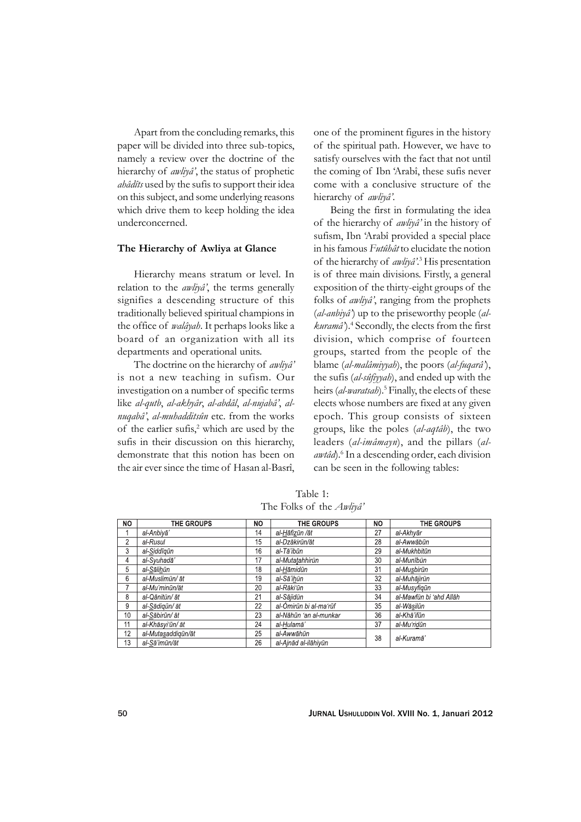Apart from the concluding remarks, this paper will be divided into three sub-topics, namely a review over the doctrine of the hierarchy of *awliyâ'*, the status of prophetic *ahâdîts* used by the sufis to support their idea on this subject, and some underlying reasons which drive them to keep holding the idea underconcerned.

#### **The Hierarchy of Awliya at Glance**

Hierarchy means stratum or level. In relation to the *awliyâ'*, the terms generally signifies a descending structure of this traditionally believed spiritual champions in the office of *walâyah*. It perhaps looks like a board of an organization with all its departments and operational units.

The doctrine on the hierarchy of *awliyâ'* is not a new teaching in sufism. Our investigation on a number of specific terms like *al-qutb*, *al-akhyâr*, *al-abdâl*, *al-nujabâ'*, *alnuqabâ'*, *al-muhadditsûn* etc. from the works of the earlier sufis,<sup>2</sup> which are used by the sufis in their discussion on this hierarchy, demonstrate that this notion has been on the air ever since the time of Hasan al-Basrî,

one of the prominent figures in the history of the spiritual path. However, we have to satisfy ourselves with the fact that not until the coming of Ibn 'Arabî, these sufis never come with a conclusive structure of the hierarchy of *awliyâ'*.

Being the first in formulating the idea of the hierarchy of *awliyâ'* in the history of sufism, Ibn 'Arabî provided a special place in his famous *Futûhât* to elucidate the notion of the hierarchy of *awliyâ*'.<sup>3</sup> His presentation is of three main divisions. Firstly, a general exposition of the thirty-eight groups of the folks of *awliyâ'*, ranging from the prophets (*al-anbiyâ'*) up to the priseworthy people (*alkuramâ'*).4 Secondly, the elects from the first division, which comprise of fourteen groups, started from the people of the blame (*al-malâmiyyah*), the poors (*al-fuqarâ'*), the sufis (*al-sûfiyyah*), and ended up with the heirs (al-waratsah).<sup>5</sup> Finally, the elects of these elects whose numbers are fixed at any given epoch. This group consists of sixteen groups, like the poles (*al-aqtâb*), the two leaders (*al-imâmayn*), and the pillars (*al*awtâd).<sup>6</sup> In a descending order, each division can be seen in the following tables:

Table 1: The Folks of the *Awliyâ'*

| NO. | THE GROUPS         | NΟ | THE GROUPS             | NO | THE GROUPS              |
|-----|--------------------|----|------------------------|----|-------------------------|
|     | al-Anbivā'         | 14 | al-Hāfizūn /āt         | 27 | al-Akhvār               |
| 2   | al-Rusul           | 15 | al-Dzākirūn/āt         | 28 | al-Awwābūn              |
| 3   | al-Siddīgūn        | 16 | al-Tā'ibūn             | 29 | al-Mukhbitūn            |
| 4   | al-Svuhadā'        | 17 | al-Mutatahhirūn        | 30 | al-Munībūn              |
| 5   | al-Sālihūn         | 18 | al-Hāmidūn             | 31 | al-Musbirūn             |
| 6   | al-Muslimūn/ āt    | 19 | al-Sā'ihūn             | 32 | al-Muhājirūn            |
|     | al-Mu'minūn/āt     | 20 | al-Rāki'ūn             | 33 | al-Musyfiqūn            |
| 8   | al-Qānitūn/ āt     | 21 | al-Sājidūn             | 34 | al-Mawfūn bi 'ahd Allāh |
| 9   | al-Sādigūn/ āt     | 22 | al-Ómirūn bi al-maʻrūf | 35 | al-Wāsilūn              |
| 10  | al-Sābirūn/ āt     | 23 | al-Nāhūn 'an al-munkar | 36 | al-Khā'ifūn             |
| 11  | al-Khāsvi'ūn/ āt   | 24 | al-Hulamā'             | 37 | al-Muʻridūn             |
| 12  | al-Mutasaddigūn/āt | 25 | al-Awwāhūn             | 38 | al-Kuramā'              |
| 13  | al-Sā'imūn/āt      | 26 | al-Ainād al-ilāhivūn   |    |                         |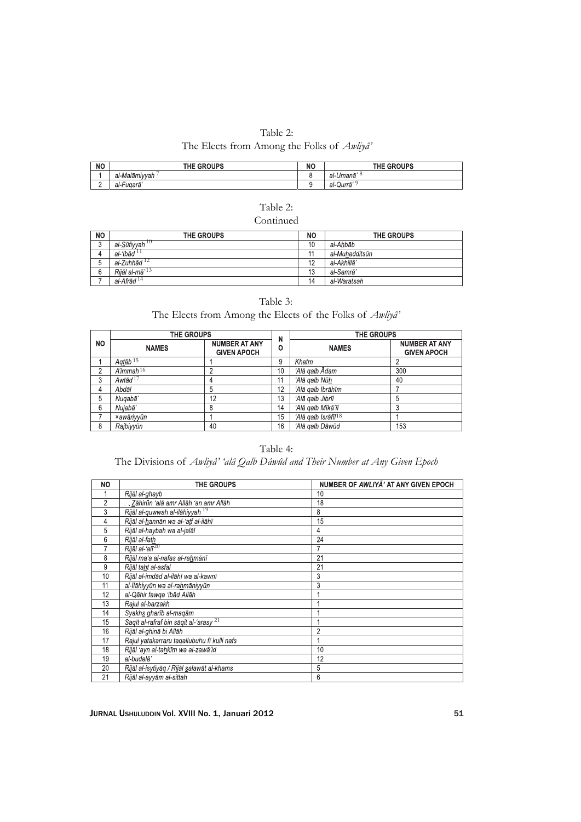| Table 2:                                                      |  |
|---------------------------------------------------------------|--|
| The Elects from Among the Folks of <i>Awliya</i> <sup>2</sup> |  |

| <b>NO</b> | THE GROUPS    | NC | <b>THE GROUPS</b>    |
|-----------|---------------|----|----------------------|
|           | al-Malāmivvah |    | al-Umanā             |
| <u>.</u>  | al-Fuqarā     |    | <b>.</b><br>al-Qurrā |

| Table 2:  |
|-----------|
| Continued |

| <b>NO</b> | <b>THE GROUPS</b>                  | NO             | <b>THE GROUPS</b> |
|-----------|------------------------------------|----------------|-------------------|
| $\sim$    | al- <u>S</u> ūfiyyah <sup>10</sup> | 10             | al-Ahbāb          |
|           | al-'Ibād                           | $\overline{A}$ | al-Muhadditsūn    |
| ັບ        | al-Zuhhād <sup>12</sup>            | 12             | al-Akhillā'       |
| 6         | Riiāl al-mā' <sup>13</sup>         | 13             | al-Samrā'         |
|           | al-Afrād <sup>14</sup>             | 14             | al-Waratsah       |

| Table 3: |  |
|----------|--|
|----------|--|

### The Elects from Among the Elects of the Folks of *Awliyâ'*

|     | THE GROUPS               |                                            |        | THE GROUPS                      |                                            |  |
|-----|--------------------------|--------------------------------------------|--------|---------------------------------|--------------------------------------------|--|
| NO. | <b>NAMES</b>             | <b>NUMBER AT ANY</b><br><b>GIVEN APOCH</b> | N<br>٥ | <b>NAMES</b>                    | <b>NUMBER AT ANY</b><br><b>GIVEN APOCH</b> |  |
|     | Agtāb <sup>15</sup>      |                                            | 9      | Khatm                           |                                            |  |
| c   | $A'$ immah <sup>16</sup> |                                            | 10     | 'Alā galb Ādam                  | 300                                        |  |
| 3   | Awtād $17$               |                                            | 11     | 'Alā galb Nūh                   | 40                                         |  |
| 4   | Abdāl                    | 5                                          | 12     | 'Alā galb Ibrāhīm               |                                            |  |
| 5   | Nugabā'                  | 12                                         | 13     | 'Alā galb Jibrīl                | 5                                          |  |
| 6   | Nujabā'                  | 8                                          | 14     | 'Alā galb Mīkā'īl               |                                            |  |
|     | xawāriyyūn               |                                            | 15     | 'Alā galb Isrāfīl <sup>18</sup> |                                            |  |
| 8   | Rajbiyyūn                | 40                                         | 16     | 'Alā galb Dāwūd                 | 153                                        |  |

Table 4:

## The Divisions of *Awliyâ' 'alâ Qalb Dâwûd and Their Number at Any Given Epoch*

| NO             | <b>THE GROUPS</b>                                 | NUMBER OF AWLIYA' AT ANY GIVEN EPOCH |
|----------------|---------------------------------------------------|--------------------------------------|
|                | Rijāl al-ghayb                                    | 10                                   |
| $\overline{2}$ | Zāhirūn 'alā amr Allāh 'an amr Allāh              | 18                                   |
| 3              | Rijāl al-quwwah al-ilāhiyyah 19                   | 8                                    |
| 4              | Rijāl al-hannān wa al-'atf al-ilāhī               | 15                                   |
| 5              | Rijāl al-haybah wa al-jalāl                       | 4                                    |
| 6              | Rijāl al-fath                                     | 24                                   |
|                | Rijāl al-'alī <sup>20</sup>                       |                                      |
| 8              | Rijāl ma'a al-nafas al-rahmānī                    | 21                                   |
| 9              | Riiāl taht al-asfal                               | 21                                   |
| 10             | Rijāl al-imdād al-ilāhī wa al-kawnī               | 3                                    |
| 11             | al-Ilāhiyyūn wa al-rahmāniyyūn                    | 3                                    |
| 12             | al-Qāhir fawqa 'ibād Allāh                        |                                      |
| 13             | Rajul al-barzakh                                  |                                      |
| 14             | Syakhs gharīb al-maqām                            |                                      |
| 15             | Saqīt al-rafraf bin sāqit al-'arasy <sup>21</sup> |                                      |
| 16             | Rijāl al-ghinā bi Allāh                           | $\overline{2}$                       |
| 17             | Rajul yatakarraru taqallubuhu fī kulli nafs       |                                      |
| 18             | Rijāl 'ayn al-tahkīm wa al-zawā'id                | 10                                   |
| 19             | al-budalā'                                        | 12                                   |
| 20             | Rijāl al-isytiyāq / Rijāl salawāt al-khams        | 5                                    |
| 21             | Rijāl al-ayyām al-sittah                          | 6                                    |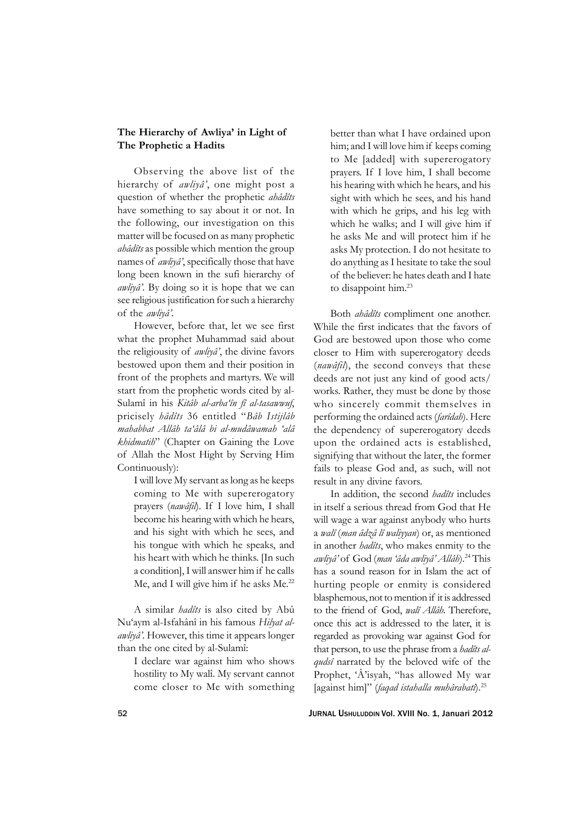### **The Hierarchy of Awliya' in Light of The Prophetic a Hadits**

Observing the above list of the hierarchy of *awliyâ'*, one might post a question of whether the prophetic *ahâdîts* have something to say about it or not. In the following, our investigation on this matter will be focused on as many prophetic *ahâdîts* as possible which mention the group names of *awliyâ'*, specifically those that have long been known in the sufi hierarchy of *awliyâ'*. By doing so it is hope that we can see religious justification for such a hierarchy of the *awliyâ'*.

However, before that, let we see first what the prophet Muhammad said about the religiousity of *awliyâ'*, the divine favors bestowed upon them and their position in front of the prophets and martyrs. We will start from the prophetic words cited by al-Sulamî in his *Kitâb al-arba'în fî al-tasawwuf*, pricisely *hâdîts* 36 entitled "*Bâb Istijlâb mahabbat Allâh ta'âlâ bi al-mudâwamah 'alâ khidmatih*" (Chapter on Gaining the Love of Allah the Most Hight by Serving Him Continuously):

I will love My servant as long as he keeps coming to Me with supererogatory prayers (*nawâfil*). If I love him, I shall become his hearing with which he hears, and his sight with which he sees, and his tongue with which he speaks, and his heart with which he thinks. [In such a condition], I will answer him if he calls Me, and I will give him if he asks Me.<sup>22</sup>

A similar *hadîts* is also cited by Abû Nu'aym al-Isfahânî in his famous *Hilyat alawliyâ'*. However, this time it appears longer than the one cited by al-Sulamî:

I declare war against him who shows hostility to My walî. My servant cannot come closer to Me with something

better than what I have ordained upon him; and I will love him if keeps coming to Me [added] with supererogatory prayers. If I love him, I shall become his hearing with which he hears, and his sight with which he sees, and his hand with which he grips, and his leg with which he walks; and I will give him if he asks Me and will protect him if he asks My protection. I do not hesitate to do anything as I hesitate to take the soul of the believer: he hates death and I hate to disappoint him.23

Both *ahâdîts* compliment one another. While the first indicates that the favors of God are bestowed upon those who come closer to Him with supererogatory deeds (*nawâfil*), the second conveys that these deeds are not just any kind of good acts/ works. Rather, they must be done by those who sincerely commit themselves in performing the ordained acts (*farîdah*). Here the dependency of supererogatory deeds upon the ordained acts is established, signifying that without the later, the former fails to please God and, as such, will not result in any divine favors.

In addition, the second *hadîts* includes in itself a serious thread from God that He will wage a war against anybody who hurts a *walî* (*man âdzâ lî waliyyan*) or, as mentioned in another *hadîts*, who makes enmity to the *awliyâ'* of God (*man 'âda awliyâ' Allâh*).24 This has a sound reason for in Islam the act of hurting people or enmity is considered blasphemous, not to mention if it is addressed to the friend of God, *walî Allâh*. Therefore, once this act is addressed to the later, it is regarded as provoking war against God for that person, to use the phrase from a *hadîts alqudsî* narrated by the beloved wife of the Prophet, 'Â'isyah, "has allowed My war [against him]" (*faqad istahalla muhârabatî*).25

52 JURNAL USHULUDDIN Vol. XVIII No. 1, Januari 2012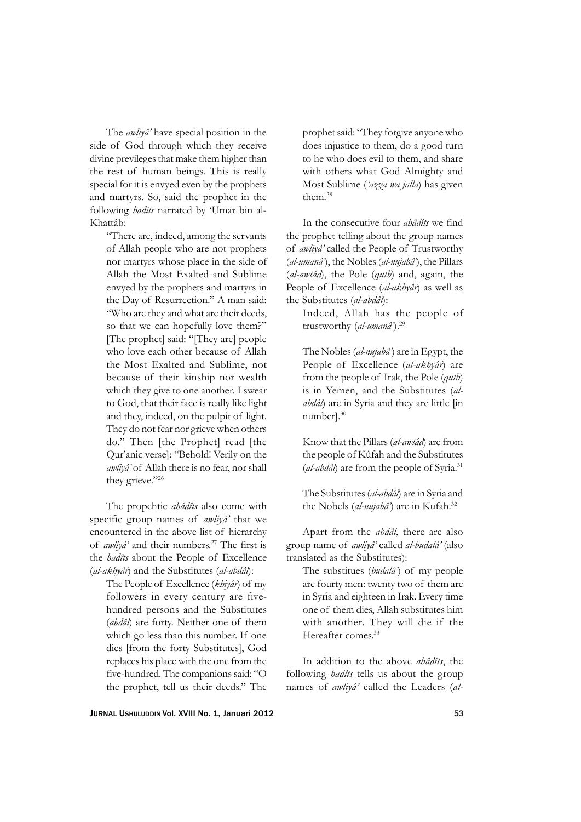The *awliyâ'* have special position in the side of God through which they receive divine previleges that make them higher than the rest of human beings. This is really special for it is envyed even by the prophets and martyrs. So, said the prophet in the following *hadîts* narrated by 'Umar bin al-Khattâb:

"There are, indeed, among the servants of Allah people who are not prophets nor martyrs whose place in the side of Allah the Most Exalted and Sublime envyed by the prophets and martyrs in the Day of Resurrection." A man said: "Who are they and what are their deeds, so that we can hopefully love them?" [The prophet] said: "[They are] people who love each other because of Allah the Most Exalted and Sublime, not because of their kinship nor wealth which they give to one another. I swear to God, that their face is really like light and they, indeed, on the pulpit of light. They do not fear nor grieve when others do." Then [the Prophet] read [the Qur'anic verse]: "Behold! Verily on the *awliyâ'* of Allah there is no fear, nor shall they grieve."26

The propehtic *ahâdîts* also come with specific group names of *awliyâ'* that we encountered in the above list of hierarchy of *awliyâ'* and their numbers.27 The first is the *hadîts* about the People of Excellence (*al-akhyâr*) and the Substitutes (*al-abdâl*):

The People of Excellence (*khiyâr*) of my followers in every century are fivehundred persons and the Substitutes (*abdâl*) are forty. Neither one of them which go less than this number. If one dies [from the forty Substitutes], God replaces his place with the one from the five-hundred. The companions said: "O the prophet, tell us their deeds." The

prophet said: "They forgive anyone who does injustice to them, do a good turn to he who does evil to them, and share with others what God Almighty and Most Sublime (*'azza wa jalla*) has given them.28

In the consecutive four *ahâdîts* we find the prophet telling about the group names of *awliyâ'* called the People of Trustworthy (*al-umanâ'*), the Nobles (*al-nujabâ'*), the Pillars (*al-awtâd*), the Pole (*qutb*) and, again, the People of Excellence (*al-akhyâr*) as well as the Substitutes (*al-abdâl*):

Indeed, Allah has the people of trustworthy (*al-umanâ'*).29

The Nobles (*al-nujabâ'*) are in Egypt, the People of Excellence (*al-akhyâr*) are from the people of Irak, the Pole (*qutb*) is in Yemen, and the Substitutes (*alabdâl*) are in Syria and they are little [in number].30

Know that the Pillars (*al-awtâd*) are from the people of Kûfah and the Substitutes (*al-abdâl*) are from the people of Syria.<sup>31</sup>

The Substitutes (*al-abdâl*) are in Syria and the Nobels (*al-nujabâ'*) are in Kufah.32

Apart from the *abdâl*, there are also group name of *awliyâ'* called *al-budalâ'* (also translated as the Substitutes):

The substitues (*budalâ'*) of my people are fourty men: twenty two of them are in Syria and eighteen in Irak. Every time one of them dies, Allah substitutes him with another. They will die if the Hereafter comes.<sup>33</sup>

In addition to the above *ahâdîts*, the following *hadîts* tells us about the group names of *awliyâ'* called the Leaders (*al-*

JURNAL USHULUDDIN Vol. XVIII No. 1, Januari 2012 53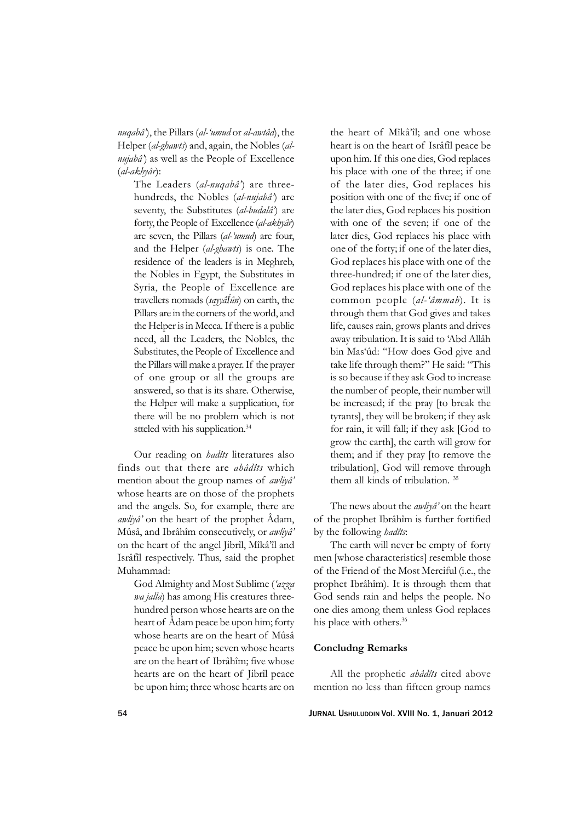*nuqabâ'*), the Pillars (*al-'umud* or *al-awtâd*), the Helper (*al-ghawts*) and, again, the Nobles (*alnujabâ'*) as well as the People of Excellence (*al-akhyâr*):

The Leaders (*al-nuqabâ'*) are threehundreds, the Nobles (*al-nujabâ'*) are seventy, the Substitutes (*al-budalâ'*) are forty, the People of Excellence (*al-akhyâr*) are seven, the Pillars (*al-'umud*) are four, and the Helper (*al-ghawts*) is one. The residence of the leaders is in Meghreb, the Nobles in Egypt, the Substitutes in Syria, the People of Excellence are travellers nomads (*sayyâÍûn*) on earth, the Pillars are in the corners of the world, and the Helper is in Mecca. If there is a public need, all the Leaders, the Nobles, the Substitutes, the People of Excellence and the Pillars will make a prayer. If the prayer of one group or all the groups are answered, so that is its share. Otherwise, the Helper will make a supplication, for there will be no problem which is not stteled with his supplication.<sup>34</sup>

Our reading on *hadîts* literatures also finds out that there are *ahâdîts* which mention about the group names of *awliyâ'* whose hearts are on those of the prophets and the angels. So, for example, there are *awliyâ'* on the heart of the prophet Âdam, Mûsâ, and Ibrâhîm consecutively, or *awliyâ'* on the heart of the angel Jibrîl, Mîkâ'îl and Isrâfîl respectively. Thus, said the prophet Muhammad:

God Almighty and Most Sublime (*'azza wa jalla*) has among His creatures threehundred person whose hearts are on the heart of Âdam peace be upon him; forty whose hearts are on the heart of Mûsâ peace be upon him; seven whose hearts are on the heart of Ibrâhîm; five whose hearts are on the heart of Jibrîl peace be upon him; three whose hearts are on

the heart of Mîkâ'îl; and one whose heart is on the heart of Isrâfîl peace be upon him. If this one dies, God replaces his place with one of the three; if one of the later dies, God replaces his position with one of the five; if one of the later dies, God replaces his position with one of the seven; if one of the later dies, God replaces his place with one of the forty; if one of the later dies, God replaces his place with one of the three-hundred; if one of the later dies, God replaces his place with one of the common people (*al-'âmmah*). It is through them that God gives and takes life, causes rain, grows plants and drives away tribulation. It is said to 'Abd Allâh bin Mas'ûd: "How does God give and take life through them?" He said: "This is so because if they ask God to increase the number of people, their number will be increased; if the pray [to break the tyrants], they will be broken; if they ask for rain, it will fall; if they ask [God to grow the earth], the earth will grow for them; and if they pray [to remove the tribulation], God will remove through them all kinds of tribulation. 35

The news about the *awliyâ'* on the heart of the prophet Ibrâhîm is further fortified by the following *hadîts*:

The earth will never be empty of forty men [whose characteristics] resemble those of the Friend of the Most Merciful (i.e., the prophet Ibrâhîm). It is through them that God sends rain and helps the people. No one dies among them unless God replaces his place with others.<sup>36</sup>

### **Concludng Remarks**

All the prophetic *ahâdîts* cited above mention no less than fifteen group names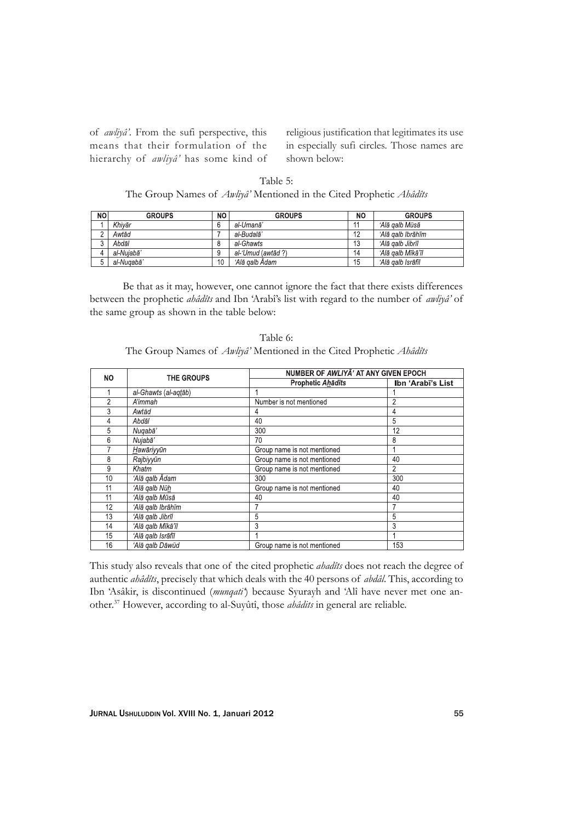of *awliyâ'*. From the sufi perspective, this means that their formulation of the hierarchy of *awliyâ'* has some kind of religious justification that legitimates its use in especially sufi circles. Those names are shown below:

| NO | <b>GROUPS</b> | NO | <b>GROUPS</b>      | <b>NO</b> | <b>GROUPS</b>     |
|----|---------------|----|--------------------|-----------|-------------------|
|    | Khivār        | 6  | al-Umanā'          |           | ʻAlā galb Mūsā    |
|    | Awtād         |    | al-Budalā'         | 12        | ʻAlā galb Ibrāhīm |
|    | Abdāl         | 8  | al-Ghawts          | 13        | ʻAlā qalb Jibrīl  |
| 4  | al-Nuiabā'    | 9  | al-'Umud (awtād ?) | 14        | ʻAlā aalb Mīkā'īl |
|    | al-Nugabā'    | 10 | ʻAlā aalb Ādam     | 15        | ʻAlā galb Isrāfīl |

Table 5: The Group Names of *Awliyâ'* Mentioned in the Cited Prophetic *Ahâdîts*

Be that as it may, however, one cannot ignore the fact that there exists differences between the prophetic *ahâdîts* and Ibn 'Arabî's list with regard to the number of *awliyâ'* of the same group as shown in the table below:

| Table 6:                                                                          |  |
|-----------------------------------------------------------------------------------|--|
| The Group Names of <i>Awliyâ'</i> Mentioned in the Cited Prophetic <i>Ahâdîts</i> |  |

| <b>NO</b> | <b>THE GROUPS</b>    | NUMBER OF AWLIYA' AT ANY GIVEN EPOCH |                   |  |  |  |
|-----------|----------------------|--------------------------------------|-------------------|--|--|--|
|           |                      | Prophetic Ahādīts                    | Ibn 'Arabī's List |  |  |  |
|           | al-Ghawts (al-aqtāb) |                                      |                   |  |  |  |
| 2         | A'immah              | Number is not mentioned              | 2                 |  |  |  |
| 3         | Awtād                | 4                                    | 4                 |  |  |  |
| 4         | Abdāl                | 40                                   | 5                 |  |  |  |
| 5         | Nugabā'              | 300                                  | 12                |  |  |  |
| 6         | Nujabā'              | 70                                   | 8                 |  |  |  |
|           | Hawāriyyūn           | Group name is not mentioned          |                   |  |  |  |
| 8         | Rajbiyyūn            | Group name is not mentioned          | 40                |  |  |  |
| 9         | Khatm                | Group name is not mentioned          | 2                 |  |  |  |
| 10        | 'Alā qalb Ādam       | 300                                  | 300               |  |  |  |
| 11        | 'Alā galb Nūh        | Group name is not mentioned          | 40                |  |  |  |
| 11        | ʻAlā qalb Mūsā       | 40                                   | 40                |  |  |  |
| 12        | 'Alā galb Ibrāhīm    |                                      |                   |  |  |  |
| 13        | 'Alā galb Jibrīl     | 5                                    | 5                 |  |  |  |
| 14        | 'Alā galb Mīkā'īl    | 3                                    | 3                 |  |  |  |
| 15        | 'Alā galb Isrāfīl    |                                      |                   |  |  |  |
| 16        | 'Alā galb Dāwūd      | Group name is not mentioned          | 153               |  |  |  |

This study also reveals that one of the cited prophetic *ahadîts* does not reach the degree of authentic *ahâdîts*, precisely that which deals with the 40 persons of *abdâl*. This, according to Ibn 'Asâkir, is discontinued (*munqati'*) because Syurayh and 'Alî have never met one another.37 However, according to al-Suyûtî, those *ahâdits* in general are reliable.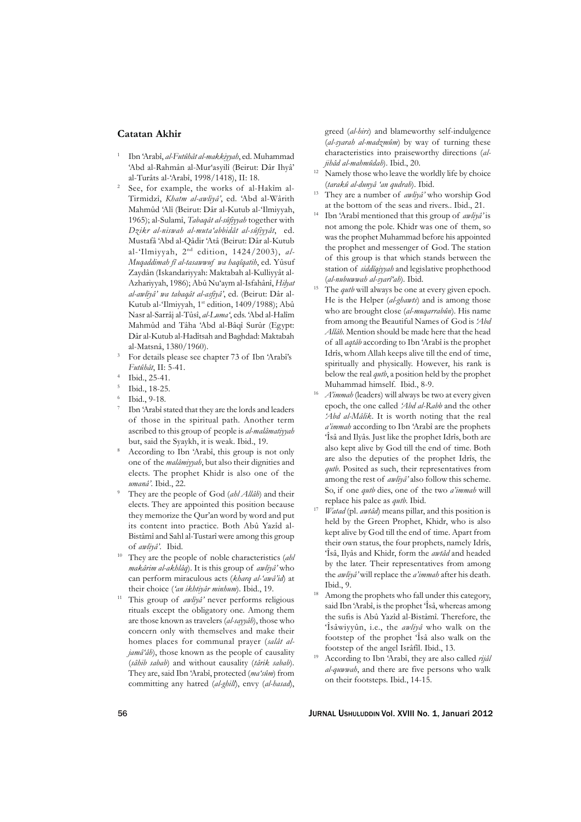### **Catatan Akhir**

- <sup>1</sup> Ibn 'Arabî, *al-Futûhât al-makkiyyah*, ed. Muhammad 'Abd al-Rahmân al-Mur'asyilî (Beirut: Dâr Ihyâ' al-Turâts al-'Arabî, 1998/1418), II: 18.
- See, for example, the works of al-Hakîm al-Tirmidzî, *Khatm al-awliyâ'*, ed. 'Abd al-Wârith Mahmûd 'Alî (Beirut: Dâr al-Kutub al-'Ilmiyyah, 1965); al-Sulamî, *Tabaqât al-sûfiyyah* together with *Dzikr al-niswah al-muta'abbidât al-sûfiyyât*, ed. Mustafâ 'Abd al-Qâdir 'Atâ (Beirut: Dâr al-Kutub al-'Ilmiyyah, 2<sup>nd</sup> edition, 1424/2003), al-*Muqaddimah fî al-tasawwuf wa haqîqatih*, ed. Yûsuf Zaydân (Iskandariyyah: Maktabah al-Kulliyyât al-Azhariyyah, 1986); Abû Nu'aym al-Isfahânî, *Hilyat al-awliyâ' wa tabaqât al-asfiyâ'*, ed. (Beirut: Dâr al-Kutub al-'Ilmiyyah, 1<sup>st</sup> edition, 1409/1988); Abû Nasr al-Sarrâj al-Tûsî, *al-Luma'*, eds. 'Abd al-Halîm Mahmûd and Tâha 'Abd al-Bâqî Surûr (Egypt: Dâr al-Kutub al-Hadîtsah and Baghdad: Maktabah al-Matsnâ, 1380/1960).
- <sup>3</sup> For details please see chapter 73 of Ibn 'Arabî's *Futûhât*, II: 5-41.
- Ibid., 25-41.
- <sup>5</sup> Ibid., 18-25.
- <sup>6</sup> Ibid., 9-18.
- Ibn 'Arabî stated that they are the lords and leaders of those in the spiritual path. Another term ascribed to this group of people is *al-malâmatiyyah* but, said the Syaykh, it is weak. Ibid., 19.
- According to Ibn 'Arabî, this group is not only one of the *malâmiyyah*, but also their dignities and elects. The prophet Khidr is also one of the *umanâ'*. Ibid., 22.
- <sup>9</sup> They are the people of God (*ahl Allâh*) and their elects. They are appointed this position because they memorize the Qur'an word by word and put its content into practice. Both Abû Yazîd al-Bistâmî and Sahl al-Tustarî were among this group of *awliyâ'*. Ibid.
- <sup>10</sup> They are the people of noble characteristics (*ahl makârim al-akhlâq*). It is this group of *awliyâ'* who can perform miraculous acts (*kharq al-'awâ'id*) at their choice (*'an ikhtiyâr minhum*). Ibid., 19.
- <sup>11</sup> This group of *awliyâ'* never performs religious rituals except the obligatory one. Among them are those known as travelers (*al-sayyâh*), those who concern only with themselves and make their homes places for communal prayer (*salât aljamâ'âh*), those known as the people of causality (*sâhib sabab*) and without causality (*târik sabab*). They are, said Ibn 'Arabî, protected (*ma'sûm*) from committing any hatred (*al-ghill*), envy (*al-hasad*),

greed (*al-hirs*) and blameworthy self-indulgence (*al-syarah al-madzmûm*) by way of turning these characteristics into praiseworthy directions (*aljihâd al-mahmûdah*). Ibid., 20.

- <sup>12</sup> Namely those who leave the worldly life by choice (*tarakû al-dunyâ 'an qudrah*). Ibid.
- <sup>13</sup> They are a number of *awliyâ'* who worship God at the bottom of the seas and rivers.. Ibid., 21.
- <sup>14</sup> Ibn 'Arabî mentioned that this group of *awliyâ'* is not among the pole. Khidr was one of them, so was the prophet Muhammad before his appointed the prophet and messenger of God. The station of this group is that which stands between the station of *siddîqiyyah* and legislative prophethood (*al-nubuwwah al-syarî'ah*). Ibid.
- The *qutb* will always be one at every given epoch. He is the Helper (*al-ghawts*) and is among those who are brought close (*al-muqarrabûn*). His name from among the Beautiful Names of God is *'Abd Allâh*. Mention should be made here that the head of all *aqtâb* according to Ibn 'Arabî is the prophet Idrîs, whom Allah keeps alive till the end of time, spiritually and physically. However, his rank is below the real *qutb*, a position held by the prophet Muhammad himself. Ibid., 8-9.
- <sup>16</sup> *A'immah* (leaders) will always be two at every given epoch, the one called *'Abd al-Rabb* and the other *'Abd al-Mâlik*. It is worth noting that the real *a'immah* according to Ibn 'Arabî are the prophets 'Îsâ and Ilyâs. Just like the prophet Idrîs, both are also kept alive by God till the end of time. Both are also the deputies of the prophet Idrîs, the *qutb*. Posited as such, their representatives from among the rest of *awliyâ'* also follow this scheme. So, if one *qutb* dies, one of the two *a'immah* will replace his palce as *qutb*. Ibid.
- <sup>17</sup> *Watad* (pl. *awtâd*) means pillar, and this position is held by the Green Prophet, Khidr, who is also kept alive by God till the end of time. Apart from their own status, the four prophets, namely Idrîs, 'Îsâ, Ilyâs and Khidr, form the *awtâd* and headed by the later. Their representatives from among the *awliyâ'* will replace the *a'immah* after his death. Ibid., 9.
- <sup>18</sup> Among the prophets who fall under this category, said Ibn 'Arabî, is the prophet 'Îsâ, whereas among the sufis is Abû Yazîd al-Bistâmî. Therefore, the 'Îsâwiyyûn, i.e., the *awliyâ* who walk on the footstep of the prophet 'Îsâ also walk on the footstep of the angel Isrâfîl. Ibid., 13.
- <sup>19</sup> According to Ibn 'Arabî, they are also called *rijâl al-quwwah*, and there are five persons who walk on their footsteps. Ibid., 14-15.

56 JURNAL USHULUDDIN Vol. XVIII No. 1, Januari 2012